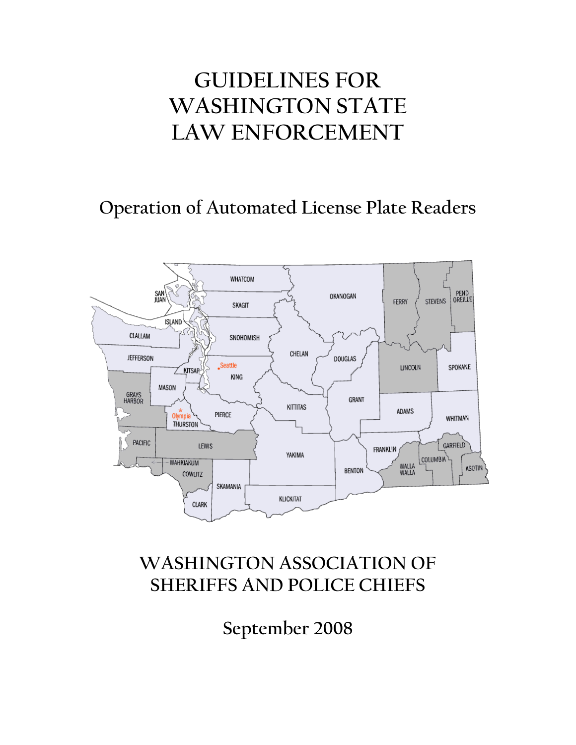# **GUIDELINES FOR WASHINGTON STATE LAW ENFORCEMENT**

## **Operation of Automated License Plate Readers**



## **WASHINGTON ASSOCIATION OF SHERIFFS AND POLICE CHIEFS**

**September 2008**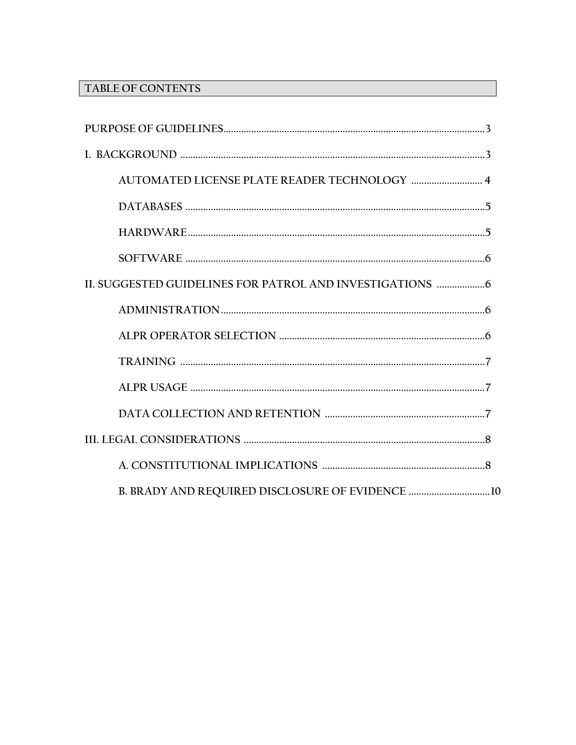### TABLE OF CONTENTS

| AUTOMATED LICENSE PLATE READER TECHNOLOGY  4 |
|----------------------------------------------|
|                                              |
|                                              |
|                                              |
|                                              |
|                                              |
|                                              |
|                                              |
|                                              |
|                                              |
|                                              |
|                                              |
|                                              |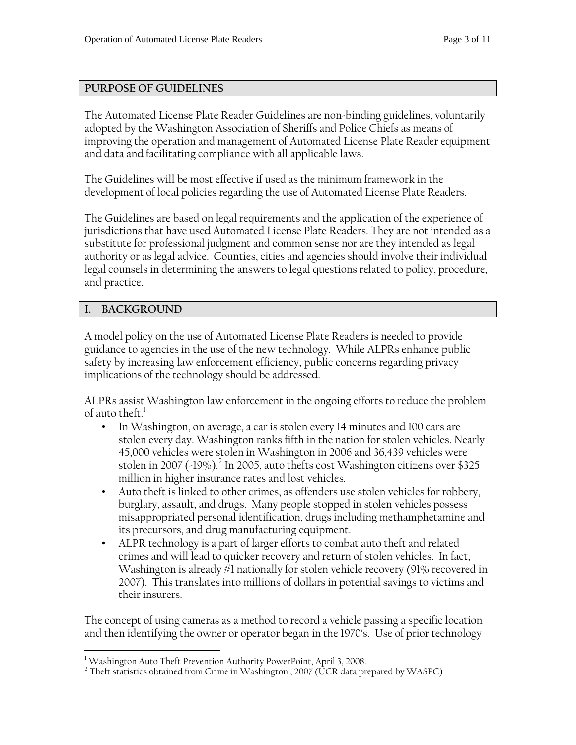#### **PURPOSE OF GUIDELINES**

The Automated License Plate Reader Guidelines are non-binding guidelines, voluntarily adopted by the Washington Association of Sheriffs and Police Chiefs as means of improving the operation and management of Automated License Plate Reader equipment and data and facilitating compliance with all applicable laws.

The Guidelines will be most effective if used as the minimum framework in the development of local policies regarding the use of Automated License Plate Readers.

The Guidelines are based on legal requirements and the application of the experience of jurisdictions that have used Automated License Plate Readers. They are not intended as a substitute for professional judgment and common sense nor are they intended as legal authority or as legal advice. Counties, cities and agencies should involve their individual legal counsels in determining the answers to legal questions related to policy, procedure, and practice.

#### **I. BACKGROUND**

A model policy on the use of Automated License Plate Readers is needed to provide guidance to agencies in the use of the new technology. While ALPRs enhance public safety by increasing law enforcement efficiency, public concerns regarding privacy implications of the technology should be addressed.

ALPRs assist Washington law enforcement in the ongoing efforts to reduce the problem of auto theft. $^{\rm l}$ 

- In Washington, on average, a car is stolen every 14 minutes and 100 cars are stolen every day. Washington ranks fifth in the nation for stolen vehicles. Nearly 45,000 vehicles were stolen in Washington in 2006 and 36,439 vehicles were stolen in 2007 (-19%).<sup>2</sup> In 2005, auto thefts cost Washington citizens over \$325 million in higher insurance rates and lost vehicles.
- Auto theft is linked to other crimes, as offenders use stolen vehicles for robbery, burglary, assault, and drugs. Many people stopped in stolen vehicles possess misappropriated personal identification, drugs including methamphetamine and its precursors, and drug manufacturing equipment.
- ALPR technology is a part of larger efforts to combat auto theft and related crimes and will lead to quicker recovery and return of stolen vehicles. In fact, Washington is already #1 nationally for stolen vehicle recovery (91% recovered in 2007). This translates into millions of dollars in potential savings to victims and their insurers.

The concept of using cameras as a method to record a vehicle passing a specific location and then identifying the owner or operator began in the 1970's. Use of prior technology

<sup>&</sup>lt;u>.</u> <sup>1</sup> Washington Auto Theft Prevention Authority PowerPoint, April 3, 2008.

 $^2$  Theft statistics obtained from Crime in Washington , 2007 (UCR data prepared by WASPC)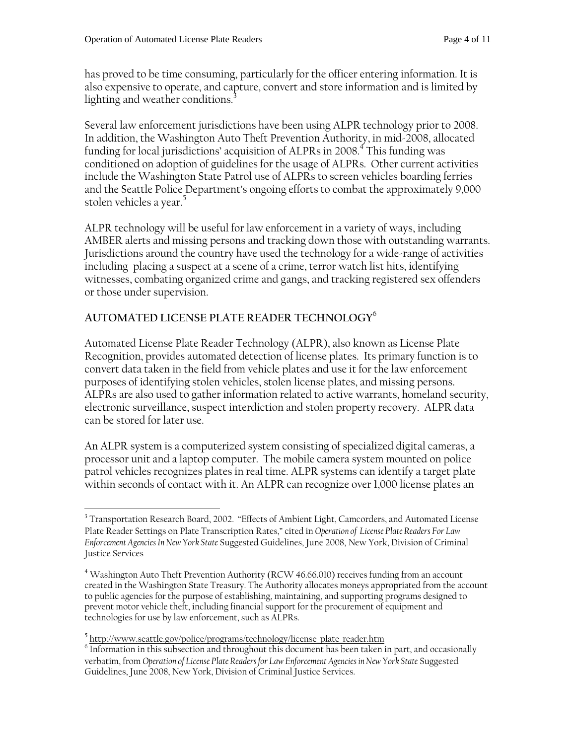has proved to be time consuming, particularly for the officer entering information. It is also expensive to operate, and capture, convert and store information and is limited by lighting and weather conditions.<sup>3</sup>

Several law enforcement jurisdictions have been using ALPR technology prior to 2008. In addition, the Washington Auto Theft Prevention Authority, in mid-2008, allocated funding for local jurisdictions' acquisition of ALPRs in 2008. $^4$  This funding was conditioned on adoption of guidelines for the usage of ALPRs. Other current activities include the Washington State Patrol use of ALPRs to screen vehicles boarding ferries and the Seattle Police Department's ongoing efforts to combat the approximately 9,000 stolen vehicles a year.<sup>5</sup>

ALPR technology will be useful for law enforcement in a variety of ways, including AMBER alerts and missing persons and tracking down those with outstanding warrants. Jurisdictions around the country have used the technology for a wide-range of activities including placing a suspect at a scene of a crime, terror watch list hits, identifying witnesses, combating organized crime and gangs, and tracking registered sex offenders or those under supervision.

### **AUTOMATED LICENSE PLATE READER TECHNOLOGY**<sup>6</sup>

Automated License Plate Reader Technology (ALPR), also known as License Plate Recognition, provides automated detection of license plates. Its primary function is to convert data taken in the field from vehicle plates and use it for the law enforcement purposes of identifying stolen vehicles, stolen license plates, and missing persons. ALPRs are also used to gather information related to active warrants, homeland security, electronic surveillance, suspect interdiction and stolen property recovery. ALPR data can be stored for later use.

An ALPR system is a computerized system consisting of specialized digital cameras, a processor unit and a laptop computer. The mobile camera system mounted on police patrol vehicles recognizes plates in real time. ALPR systems can identify a target plate within seconds of contact with it. An ALPR can recognize over 1,000 license plates an

 $\overline{a}$ 

<sup>&</sup>lt;sup>3</sup> Transportation Research Board, 2002. "Effects of Ambient Light, Camcorders, and Automated License Plate Reader Settings on Plate Transcription Rates," cited in *Operation of License Plate Readers For Law Enforcement Agencies In New York State* Suggested Guidelines, June 2008, New York, Division of Criminal Justice Services

<sup>&</sup>lt;sup>4</sup> Washington Auto Theft Prevention Authority (RCW 46.66.010) receives funding from an account created in the Washington State Treasury. The Authority allocates moneys appropriated from the account to public agencies for the purpose of establishing, maintaining, and supporting programs designed to prevent motor vehicle theft, including financial support for the procurement of equipment and technologies for use by law enforcement, such as ALPRs.

 $^5$  http://www.seattle.gov/police/programs/technology/license\_plate\_reader.htm  $^6$  Information in this qubesction and throughout this document has been taken

Information in this subsection and throughout this document has been taken in part, and occasionally verbatim, from *Operation of License Plate Readers for Law Enforcement Agencies in New York State* Suggested Guidelines, June 2008, New York, Division of Criminal Justice Services.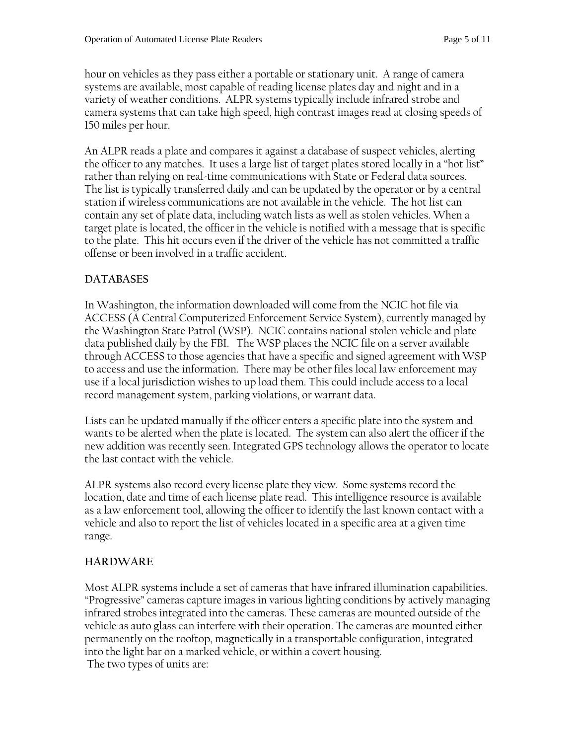hour on vehicles as they pass either a portable or stationary unit. A range of camera systems are available, most capable of reading license plates day and night and in a variety of weather conditions. ALPR systems typically include infrared strobe and camera systems that can take high speed, high contrast images read at closing speeds of 150 miles per hour.

An ALPR reads a plate and compares it against a database of suspect vehicles, alerting the officer to any matches. It uses a large list of target plates stored locally in a "hot list" rather than relying on real-time communications with State or Federal data sources. The list is typically transferred daily and can be updated by the operator or by a central station if wireless communications are not available in the vehicle. The hot list can contain any set of plate data, including watch lists as well as stolen vehicles. When a target plate is located, the officer in the vehicle is notified with a message that is specific to the plate. This hit occurs even if the driver of the vehicle has not committed a traffic offense or been involved in a traffic accident.

#### **DATABASES**

In Washington, the information downloaded will come from the NCIC hot file via ACCESS (A Central Computerized Enforcement Service System), currently managed by the Washington State Patrol (WSP). NCIC contains national stolen vehicle and plate data published daily by the FBI. The WSP places the NCIC file on a server available through ACCESS to those agencies that have a specific and signed agreement with WSP to access and use the information. There may be other files local law enforcement may use if a local jurisdiction wishes to up load them. This could include access to a local record management system, parking violations, or warrant data.

Lists can be updated manually if the officer enters a specific plate into the system and wants to be alerted when the plate is located. The system can also alert the officer if the new addition was recently seen. Integrated GPS technology allows the operator to locate the last contact with the vehicle.

ALPR systems also record every license plate they view. Some systems record the location, date and time of each license plate read. This intelligence resource is available as a law enforcement tool, allowing the officer to identify the last known contact with a vehicle and also to report the list of vehicles located in a specific area at a given time range.

#### **HARDWARE**

Most ALPR systems include a set of cameras that have infrared illumination capabilities. "Progressive" cameras capture images in various lighting conditions by actively managing infrared strobes integrated into the cameras. These cameras are mounted outside of the vehicle as auto glass can interfere with their operation. The cameras are mounted either permanently on the rooftop, magnetically in a transportable configuration, integrated into the light bar on a marked vehicle, or within a covert housing. The two types of units are: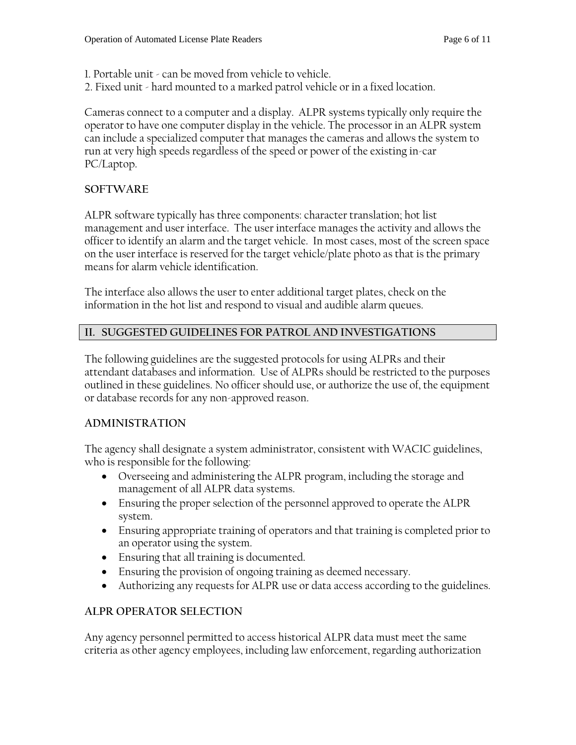- 1. Portable unit can be moved from vehicle to vehicle.
- 2. Fixed unit hard mounted to a marked patrol vehicle or in a fixed location.

Cameras connect to a computer and a display. ALPR systems typically only require the operator to have one computer display in the vehicle. The processor in an ALPR system can include a specialized computer that manages the cameras and allows the system to run at very high speeds regardless of the speed or power of the existing in-car PC/Laptop.

#### **SOFTWARE**

ALPR software typically has three components: character translation; hot list management and user interface. The user interface manages the activity and allows the officer to identify an alarm and the target vehicle. In most cases, most of the screen space on the user interface is reserved for the target vehicle/plate photo as that is the primary means for alarm vehicle identification.

The interface also allows the user to enter additional target plates, check on the information in the hot list and respond to visual and audible alarm queues.

#### **II. SUGGESTED GUIDELINES FOR PATROL AND INVESTIGATIONS**

The following guidelines are the suggested protocols for using ALPRs and their attendant databases and information. Use of ALPRs should be restricted to the purposes outlined in these guidelines. No officer should use, or authorize the use of, the equipment or database records for any non-approved reason.

#### **ADMINISTRATION**

The agency shall designate a system administrator, consistent with WACIC guidelines, who is responsible for the following:

- Overseeing and administering the ALPR program, including the storage and management of all ALPR data systems.
- Ensuring the proper selection of the personnel approved to operate the ALPR system.
- Ensuring appropriate training of operators and that training is completed prior to an operator using the system.
- Ensuring that all training is documented.
- Ensuring the provision of ongoing training as deemed necessary.
- Authorizing any requests for ALPR use or data access according to the guidelines.

#### **ALPR OPERATOR SELECTION**

Any agency personnel permitted to access historical ALPR data must meet the same criteria as other agency employees, including law enforcement, regarding authorization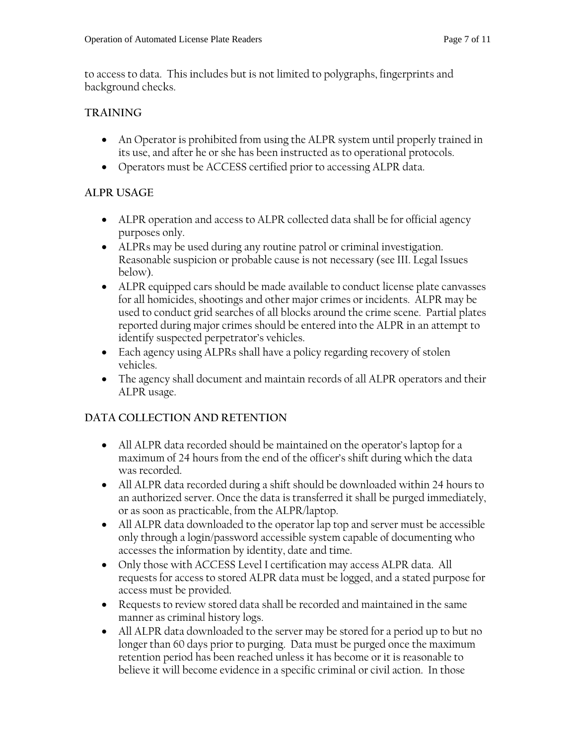to access to data. This includes but is not limited to polygraphs, fingerprints and background checks.

#### **TRAINING**

- An Operator is prohibited from using the ALPR system until properly trained in its use, and after he or she has been instructed as to operational protocols.
- Operators must be ACCESS certified prior to accessing ALPR data.

#### **ALPR USAGE**

- ALPR operation and access to ALPR collected data shall be for official agency purposes only.
- ALPRs may be used during any routine patrol or criminal investigation. Reasonable suspicion or probable cause is not necessary (see III. Legal Issues below).
- ALPR equipped cars should be made available to conduct license plate canvasses for all homicides, shootings and other major crimes or incidents. ALPR may be used to conduct grid searches of all blocks around the crime scene. Partial plates reported during major crimes should be entered into the ALPR in an attempt to identify suspected perpetrator's vehicles.
- Each agency using ALPRs shall have a policy regarding recovery of stolen vehicles.
- The agency shall document and maintain records of all ALPR operators and their ALPR usage.

#### **DATA COLLECTION AND RETENTION**

- All ALPR data recorded should be maintained on the operator's laptop for a maximum of 24 hours from the end of the officer's shift during which the data was recorded.
- All ALPR data recorded during a shift should be downloaded within 24 hours to an authorized server. Once the data is transferred it shall be purged immediately, or as soon as practicable, from the ALPR/laptop.
- All ALPR data downloaded to the operator lap top and server must be accessible only through a login/password accessible system capable of documenting who accesses the information by identity, date and time.
- Only those with ACCESS Level I certification may access ALPR data. All requests for access to stored ALPR data must be logged, and a stated purpose for access must be provided.
- Requests to review stored data shall be recorded and maintained in the same manner as criminal history logs.
- All ALPR data downloaded to the server may be stored for a period up to but no longer than 60 days prior to purging. Data must be purged once the maximum retention period has been reached unless it has become or it is reasonable to believe it will become evidence in a specific criminal or civil action. In those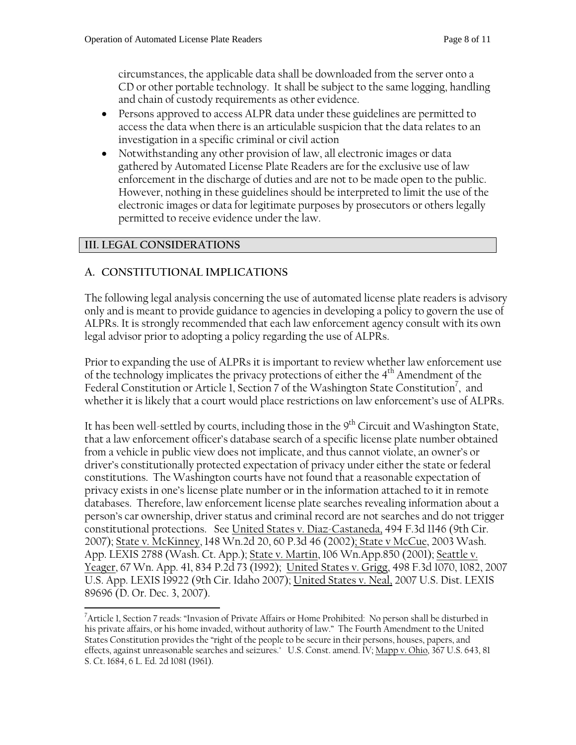circumstances, the applicable data shall be downloaded from the server onto a CD or other portable technology. It shall be subject to the same logging, handling and chain of custody requirements as other evidence.

- Persons approved to access ALPR data under these guidelines are permitted to access the data when there is an articulable suspicion that the data relates to an investigation in a specific criminal or civil action
- Notwithstanding any other provision of law, all electronic images or data gathered by Automated License Plate Readers are for the exclusive use of law enforcement in the discharge of duties and are not to be made open to the public. However, nothing in these guidelines should be interpreted to limit the use of the electronic images or data for legitimate purposes by prosecutors or others legally permitted to receive evidence under the law.

#### **III. LEGAL CONSIDERATIONS**

#### **A. CONSTITUTIONAL IMPLICATIONS**

The following legal analysis concerning the use of automated license plate readers is advisory only and is meant to provide guidance to agencies in developing a policy to govern the use of ALPRs. It is strongly recommended that each law enforcement agency consult with its own legal advisor prior to adopting a policy regarding the use of ALPRs.

Prior to expanding the use of ALPRs it is important to review whether law enforcement use of the technology implicates the privacy protections of either the 4<sup>th</sup> Amendment of the Federal Constitution or Article 1, Section 7 of the Washington State Constitution<sup>7</sup>, and whether it is likely that a court would place restrictions on law enforcement's use of ALPRs.

It has been well-settled by courts, including those in the  $9<sup>th</sup>$  Circuit and Washington State, that a law enforcement officer's database search of a specific license plate number obtained from a vehicle in public view does not implicate, and thus cannot violate, an owner's or driver's constitutionally protected expectation of privacy under either the state or federal constitutions. The Washington courts have not found that a reasonable expectation of privacy exists in one's license plate number or in the information attached to it in remote databases. Therefore, law enforcement license plate searches revealing information about a person's car ownership, driver status and criminal record are not searches and do not trigger constitutional protections. See United States v. Diaz-Castaneda, 494 F.3d 1146 (9th Cir. 2007); State v. McKinney, 148 Wn.2d 20, 60 P.3d 46 (2002); State v McCue, 2003 Wash. App. LEXIS 2788 (Wash. Ct. App.); State v. Martin, 106 Wn.App.850 (2001); Seattle v. Yeager, 67 Wn. App. 41, 834 P.2d 73 (1992); United States v. Grigg, 498 F.3d 1070, 1082, 2007 U.S. App. LEXIS 19922 (9th Cir. Idaho 2007); United States v. Neal, 2007 U.S. Dist. LEXIS 89696 (D. Or. Dec. 3, 2007).

 $\overline{a}$ <sup>7</sup>Article 1, Section 7 reads: "Invasion of Private Affairs or Home Prohibited: No person shall be disturbed in his private affairs, or his home invaded, without authority of law." The Fourth Amendment to the United States Constitution provides the "right of the people to be secure in their persons, houses, papers, and effects, against unreasonable searches and seizures." U.S. Const. amend. IV; Mapp v. Ohio, 367 U.S. 643, 81 S. Ct. 1684, 6 L. Ed. 2d 1081 (1961).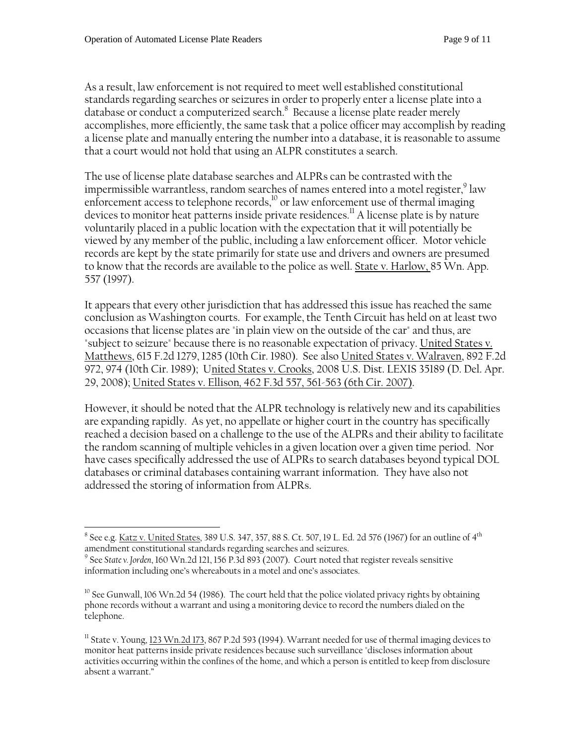As a result, law enforcement is not required to meet well established constitutional standards regarding searches or seizures in order to properly enter a license plate into a database or conduct a computerized search.<sup>8</sup> Because a license plate reader merely accomplishes, more efficiently, the same task that a police officer may accomplish by reading a license plate and manually entering the number into a database, it is reasonable to assume that a court would not hold that using an ALPR constitutes a search.

The use of license plate database searches and ALPRs can be contrasted with the impermissible warrantless, random searches of names entered into a motel register, $^9$  law enforcement access to telephone records,<sup>10</sup> or law enforcement use of thermal imaging devices to monitor heat patterns inside private residences.<sup>11</sup> A license plate is by nature voluntarily placed in a public location with the expectation that it will potentially be viewed by any member of the public, including a law enforcement officer. Motor vehicle records are kept by the state primarily for state use and drivers and owners are presumed to know that the records are available to the police as well. State v. Harlow, 85 Wn. App. 557 (1997).

It appears that every other jurisdiction that has addressed this issue has reached the same conclusion as Washington courts. For example, the Tenth Circuit has held on at least two occasions that license plates are "in plain view on the outside of the car" and thus, are "subject to seizure" because there is no reasonable expectation of privacy. United States v. Matthews, 615 F.2d 1279, 1285 (10th Cir. 1980). See also United States v. Walraven, 892 F.2d 972, 974 (10th Cir. 1989); United States v. Crooks, 2008 U.S. Dist. LEXIS 35189 (D. Del. Apr. 29, 2008); United States v. Ellison*,* 462 F.3d 557, 561-563 (6th Cir. 2007).

However, it should be noted that the ALPR technology is relatively new and its capabilities are expanding rapidly. As yet, no appellate or higher court in the country has specifically reached a decision based on a challenge to the use of the ALPRs and their ability to facilitate the random scanning of multiple vehicles in a given location over a given time period. Nor have cases specifically addressed the use of ALPRs to search databases beyond typical DOL databases or criminal databases containing warrant information. They have also not addressed the storing of information from ALPRs.

 $\overline{a}$  $^8$  See e.g. <u>Katz v. United States</u>, 389 U.S. 347, 357, 88 S. Ct. 507, 19 L. Ed. 2d 576 (1967) for an outline of 4<sup>th</sup> amendment constitutional standards regarding searches and seizures.

<sup>9</sup> See *State v. Jorden*, 160 Wn.2d 121, 156 P.3d 893 (2007). Court noted that register reveals sensitive information including one's whereabouts in a motel and one's associates.

<sup>&</sup>lt;sup>10</sup> See Gunwall, 106 Wn.2d 54 (1986). The court held that the police violated privacy rights by obtaining phone records without a warrant and using a monitoring device to record the numbers dialed on the telephone.

<sup>&</sup>lt;sup>11</sup> State v. Young,  $123$  Wn.2d 173, 867 P.2d 593 (1994). Warrant needed for use of thermal imaging devices to monitor heat patterns inside private residences because such surveillance "discloses information about activities occurring within the confines of the home, and which a person is entitled to keep from disclosure absent a warrant."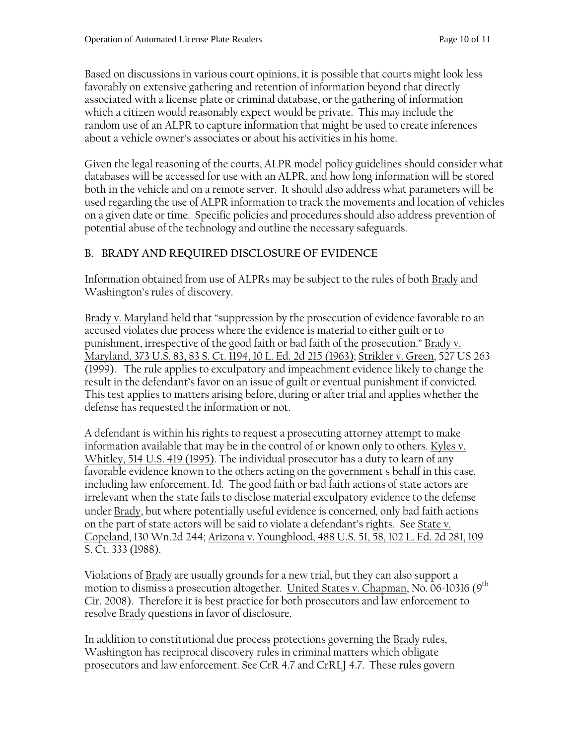Based on discussions in various court opinions, it is possible that courts might look less favorably on extensive gathering and retention of information beyond that directly associated with a license plate or criminal database, or the gathering of information which a citizen would reasonably expect would be private. This may include the random use of an ALPR to capture information that might be used to create inferences about a vehicle owner's associates or about his activities in his home.

Given the legal reasoning of the courts, ALPR model policy guidelines should consider what databases will be accessed for use with an ALPR, and how long information will be stored both in the vehicle and on a remote server. It should also address what parameters will be used regarding the use of ALPR information to track the movements and location of vehicles on a given date or time. Specific policies and procedures should also address prevention of potential abuse of the technology and outline the necessary safeguards.

#### **B. BRADY AND REQUIRED DISCLOSURE OF EVIDENCE**

Information obtained from use of ALPRs may be subject to the rules of both Brady and Washington's rules of discovery.

Brady v. Maryland held that "suppression by the prosecution of evidence favorable to an accused violates due process where the evidence is material to either guilt or to punishment, irrespective of the good faith or bad faith of the prosecution." Brady v. Maryland, 373 U.S. 83, 83 S. Ct. 1194, 10 L. Ed. 2d 215 (1963); Strikler v. Green, 527 US 263 (1999). The rule applies to exculpatory and impeachment evidence likely to change the result in the defendant's favor on an issue of guilt or eventual punishment if convicted. This test applies to matters arising before, during or after trial and applies whether the defense has requested the information or not.

A defendant is within his rights to request a prosecuting attorney attempt to make information available that may be in the control of or known only to others. Kyles v. Whitley, 514 U.S. 419 (1995). The individual prosecutor has a duty to learn of any favorable evidence known to the others acting on the government's behalf in this case, including law enforcement. <u>Id.</u> The good faith or bad faith actions of state actors are irrelevant when the state fails to disclose material exculpatory evidence to the defense under Brady, but where potentially useful evidence is concerned*,* only bad faith actions on the part of state actors will be said to violate a defendant's rights. See State v. Copeland, 130 Wn.2d 244; Arizona v. Youngblood, 488 U.S. 51, 58, 102 L. Ed. 2d 281, 109 S. Ct. 333 (1988).

Violations of Brady are usually grounds for a new trial, but they can also support a motion to dismiss a prosecution altogether. United States v. Chapman, No. 06-10316 (9<sup>th</sup> Cir. 2008). Therefore it is best practice for both prosecutors and law enforcement to resolve Brady questions in favor of disclosure.

In addition to constitutional due process protections governing the Brady rules, Washington has reciprocal discovery rules in criminal matters which obligate prosecutors and law enforcement. See CrR 4.7 and CrRLJ 4.7. These rules govern